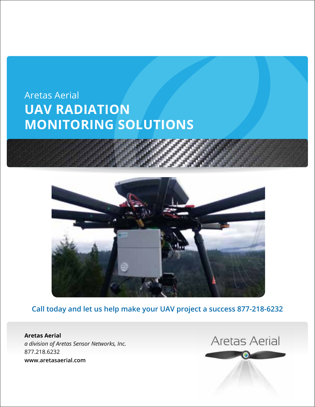# Aretas Aerial **UAV Radiation Monitoring Solutions**



**Call today and let us help make your UAV project a success 877-218-6232**

 $M_{\rm H}$  Class Action Aretas Sensor Networks, Inc. *a division of Aretas Sensor Networks, Inc.* **www.areto.o**z.com **Aretas Aerial** 877.218.6232 **www.aretasaerial.com**

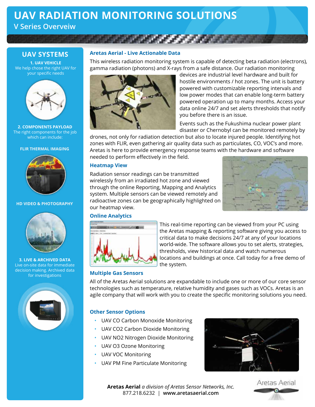# **UAV Radiation Monitoring Solutions**

**V Series Overveiw**

### **UAV Systems**

**1. UAV Vehicle** We help chose the right UAV for your specific needs



**2. Components Payload** The right components for the job which can include:

#### **FLIR THERMAL IMAGING**



#### **HD VIDEO & PHOTOGRAPHY**



**3. Live & Archived Data** Live on-site data for immediate decision making. Archived data for investigations



#### **Aretas Aerial - Live Actionable Data**

This wireless radiation monitoring system is capable of detecting beta radiation (electrons), gamma radiation (photons) and X-rays from a safe distance. Our radiation monitoring



devices are industrial level hardware and built for hostile environments / hot zones. The unit is battery powered with customizable reporting intervals and low power modes that can enable long-term battery powered operation up to many months. Access your data online 24/7 and set alerts thresholds that notify you before there is an issue.

Events such as the Fukushima nuclear power plant disaster or Chernobyl can be monitored remotely by

drones, not only for radiation detection but also to locate injured people. Identifying hot zones with FLIR, even gathering air quality data such as particulates, CO, VOC's and more. Aretas is here to provide emergency response teams with the hardware and software needed to perform effectively in the field.

#### **Heatmap View**

Radiation sensor readings can be transmitted wirelessly from an irradiated hot zone and viewed through the online Reporting, Mapping and Analytics system. Multiple sensors can be viewed remotely and radioactive zones can be geographically highlighted on our heatmap view.



#### **Online Analytics**



This real-time reporting can be viewed from your PC using the Aretas mapping & reporting software giving you access to critical data to make decisions 24/7 at any of your locations world-wide. The software allows you to set alerts, strategies, thresholds, view historical data and watch numerous locations and buildings at once. Call today for a free demo of the system.

#### **Multiple Gas Sensors**

All of the Aretas Aerial solutions are expandable to include one or more of our core sensor technologies such as temperature, relative humidity and gases such as VOCs. Aretas is an agile company that will work with you to create the specific monitoring solutions you need.

#### **Other Sensor Options**

- UAV CO Carbon Monoxide Monitoring
- UAV CO2 Carbon Dioxide Monitoring
- UAV NO2 Nitrogen Dioxide Monitoring
- UAV O3 Ozone Monitoring
- UAV VOC Monitoring
- UAV PM Fine Particulate Monitoring



**Aretas Aerial** *a division of Aretas Sensor Networks, Inc.* 877.218.6232 | **www.aretasaerial.com**

Aretas Aerial